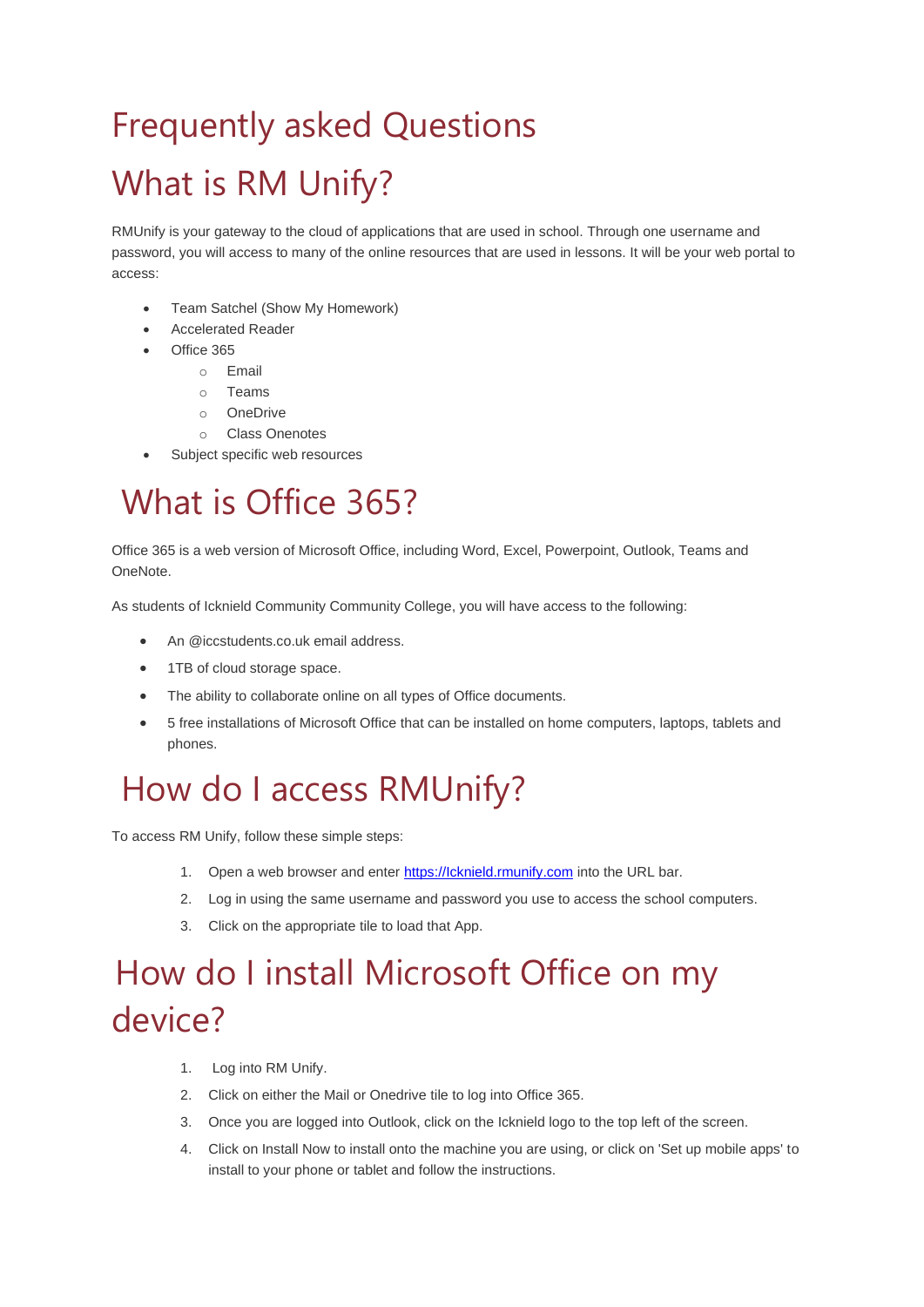# Frequently asked Questions What is RM Unify?

RMUnify is your gateway to the cloud of applications that are used in school. Through one username and password, you will access to many of the online resources that are used in lessons. It will be your web portal to access:

- Team Satchel (Show My Homework)
- Accelerated Reader
- Office 365
	- o Email
	- o Teams
	- o OneDrive
	- o Class Onenotes
- Subject specific web resources

#### What is Office 365?

Office 365 is a web version of Microsoft Office, including Word, Excel, Powerpoint, Outlook, Teams and OneNote.

As students of Icknield Community Community College, you will have access to the following:

- An @iccstudents.co.uk email address.
- 1TB of cloud storage space.
- The ability to collaborate online on all types of Office documents.
- 5 free installations of Microsoft Office that can be installed on home computers, laptops, tablets and phones.

#### How do I access RMUnify?

To access RM Unify, follow these simple steps:

- 1. Open a web browser and enter https://lcknield.rmunify.com into the URL bar.
- 2. Log in using the same username and password you use to access the school computers.
- 3. Click on the appropriate tile to load that App.

# How do I install Microsoft Office on my device?

- 1. Log into RM Unify.
- 2. Click on either the Mail or Onedrive tile to log into Office 365.
- 3. Once you are logged into Outlook, click on the Icknield logo to the top left of the screen.
- 4. Click on Install Now to install onto the machine you are using, or click on 'Set up mobile apps' to install to your phone or tablet and follow the instructions.